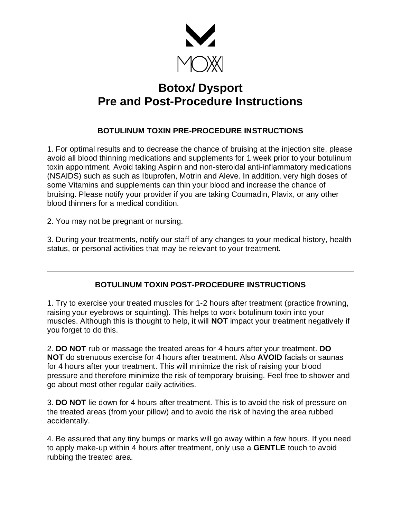

## **Botox/ Dysport Pre and Post-Procedure Instructions**

## **BOTULINUM TOXIN PRE-PROCEDURE INSTRUCTIONS**

1. For optimal results and to decrease the chance of bruising at the injection site, please avoid all blood thinning medications and supplements for 1 week prior to your botulinum toxin appointment. Avoid taking Aspirin and non-steroidal anti-inflammatory medications (NSAIDS) such as such as Ibuprofen, Motrin and Aleve. In addition, very high doses of some Vitamins and supplements can thin your blood and increase the chance of bruising. Please notify your provider if you are taking Coumadin, Plavix, or any other blood thinners for a medical condition.

2. You may not be pregnant or nursing.

3. During your treatments, notify our staff of any changes to your medical history, health status, or personal activities that may be relevant to your treatment.

## **BOTULINUM TOXIN POST-PROCEDURE INSTRUCTIONS**

1. Try to exercise your treated muscles for 1-2 hours after treatment (practice frowning, raising your eyebrows or squinting). This helps to work botulinum toxin into your muscles. Although this is thought to help, it will **NOT** impact your treatment negatively if you forget to do this.

2. **DO NOT** rub or massage the treated areas for 4 hours after your treatment. **DO NOT** do strenuous exercise for 4 hours after treatment. Also **AVOID** facials or saunas for 4 hours after your treatment. This will minimize the risk of raising your blood pressure and therefore minimize the risk of temporary bruising. Feel free to shower and go about most other regular daily activities.

3. **DO NOT** lie down for 4 hours after treatment. This is to avoid the risk of pressure on the treated areas (from your pillow) and to avoid the risk of having the area rubbed accidentally.

4. Be assured that any tiny bumps or marks will go away within a few hours. If you need to apply make-up within 4 hours after treatment, only use a **GENTLE** touch to avoid rubbing the treated area.